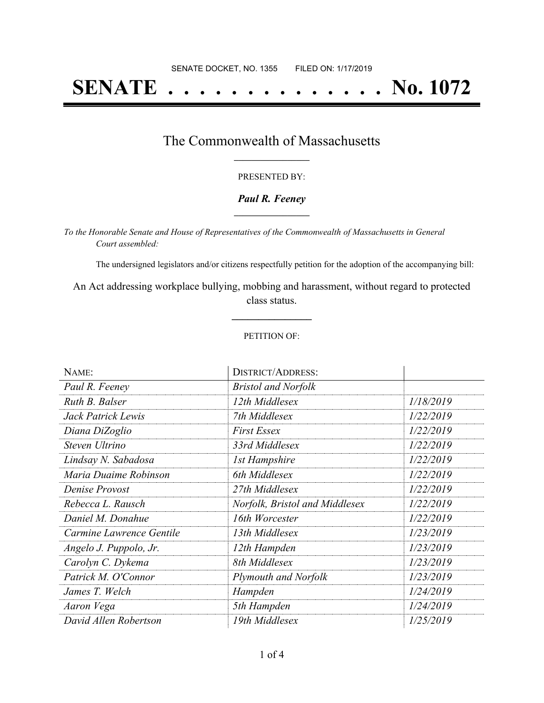# **SENATE . . . . . . . . . . . . . . No. 1072**

## The Commonwealth of Massachusetts **\_\_\_\_\_\_\_\_\_\_\_\_\_\_\_\_\_**

#### PRESENTED BY:

#### *Paul R. Feeney* **\_\_\_\_\_\_\_\_\_\_\_\_\_\_\_\_\_**

*To the Honorable Senate and House of Representatives of the Commonwealth of Massachusetts in General Court assembled:*

The undersigned legislators and/or citizens respectfully petition for the adoption of the accompanying bill:

An Act addressing workplace bullying, mobbing and harassment, without regard to protected class status.

**\_\_\_\_\_\_\_\_\_\_\_\_\_\_\_**

#### PETITION OF:

| NAME:                    | <b>DISTRICT/ADDRESS:</b>       |           |
|--------------------------|--------------------------------|-----------|
| Paul R. Feeney           | <b>Bristol and Norfolk</b>     |           |
| Ruth B. Balser           | 12th Middlesex                 | 1/18/2019 |
| Jack Patrick Lewis       | 7th Middlesex                  | 1/22/2019 |
| Diana DiZoglio           | <b>First Essex</b>             | 1/22/2019 |
| Steven Ultrino           | 33rd Middlesex                 | 1/22/2019 |
| Lindsay N. Sabadosa      | 1st Hampshire                  | 1/22/2019 |
| Maria Duaime Robinson    | 6th Middlesex                  | 1/22/2019 |
| Denise Provost           | 27th Middlesex                 | 1/22/2019 |
| Rebecca L. Rausch        | Norfolk, Bristol and Middlesex | 1/22/2019 |
| Daniel M. Donahue        | 16th Worcester                 | 1/22/2019 |
| Carmine Lawrence Gentile | 13th Middlesex                 | 1/23/2019 |
| Angelo J. Puppolo, Jr.   | 12th Hampden                   | 1/23/2019 |
| Carolyn C. Dykema        | 8th Middlesex                  | 1/23/2019 |
| Patrick M. O'Connor      | Plymouth and Norfolk           | 1/23/2019 |
| James T. Welch           | Hampden                        | 1/24/2019 |
| Aaron Vega               | 5th Hampden                    | 1/24/2019 |
| David Allen Robertson    | 19th Middlesex                 | 1/25/2019 |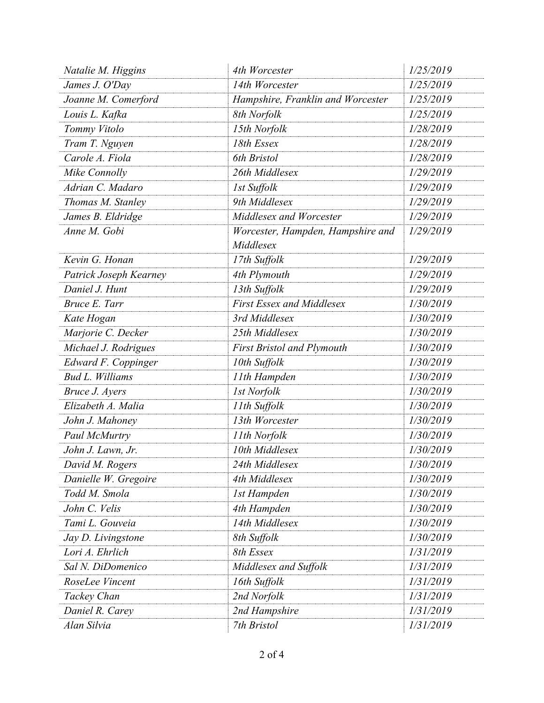| Natalie M. Higgins     | 4th Worcester                                  | 1/25/2019 |
|------------------------|------------------------------------------------|-----------|
| James J. O'Day         | 14th Worcester                                 | 1/25/2019 |
| Joanne M. Comerford    | Hampshire, Franklin and Worcester              | 1/25/2019 |
| Louis L. Kafka         | 8th Norfolk                                    | 1/25/2019 |
| Tommy Vitolo           | 15th Norfolk                                   | 1/28/2019 |
| Tram T. Nguyen         | 18th Essex                                     | 1/28/2019 |
| Carole A. Fiola        | 6th Bristol                                    | 1/28/2019 |
| Mike Connolly          | 26th Middlesex                                 | 1/29/2019 |
| Adrian C. Madaro       | 1st Suffolk                                    | 1/29/2019 |
| Thomas M. Stanley      | 9th Middlesex                                  | 1/29/2019 |
| James B. Eldridge      | Middlesex and Worcester                        | 1/29/2019 |
| Anne M. Gobi           | Worcester, Hampden, Hampshire and<br>Middlesex | 1/29/2019 |
| Kevin G. Honan         | 17th Suffolk                                   | 1/29/2019 |
| Patrick Joseph Kearney | 4th Plymouth                                   | 1/29/2019 |
| Daniel J. Hunt         | 13th Suffolk                                   | 1/29/2019 |
| Bruce E. Tarr          | <b>First Essex and Middlesex</b>               | 1/30/2019 |
| Kate Hogan             | 3rd Middlesex                                  | 1/30/2019 |
| Marjorie C. Decker     | 25th Middlesex                                 | 1/30/2019 |
| Michael J. Rodrigues   | <b>First Bristol and Plymouth</b>              | 1/30/2019 |
| Edward F. Coppinger    | 10th Suffolk                                   | 1/30/2019 |
| <b>Bud L. Williams</b> | 11th Hampden                                   | 1/30/2019 |
| Bruce J. Ayers         | <b>1st Norfolk</b>                             | 1/30/2019 |
| Elizabeth A. Malia     | 11th Suffolk                                   | 1/30/2019 |
| John J. Mahoney        | 13th Worcester                                 | 1/30/2019 |
| Paul McMurtry          | 11th Norfolk                                   | 1/30/2019 |
| John J. Lawn, Jr.      | 10th Middlesex                                 | 1/30/2019 |
| David M. Rogers        | 24th Middlesex                                 | 1/30/2019 |
| Danielle W. Gregoire   | 4th Middlesex                                  | 1/30/2019 |
| Todd M. Smola          | 1st Hampden                                    | 1/30/2019 |
| John C. Velis          | 4th Hampden                                    | 1/30/2019 |
| Tami L. Gouveia        | 14th Middlesex                                 | 1/30/2019 |
| Jay D. Livingstone     | 8th Suffolk                                    | 1/30/2019 |
| Lori A. Ehrlich        | 8th Essex                                      | 1/31/2019 |
| Sal N. DiDomenico      | Middlesex and Suffolk                          | 1/31/2019 |
| RoseLee Vincent        | 16th Suffolk                                   | 1/31/2019 |
| Tackey Chan            | 2nd Norfolk                                    | 1/31/2019 |
| Daniel R. Carey        | 2nd Hampshire                                  | 1/31/2019 |
| Alan Silvia            | 7th Bristol                                    | 1/31/2019 |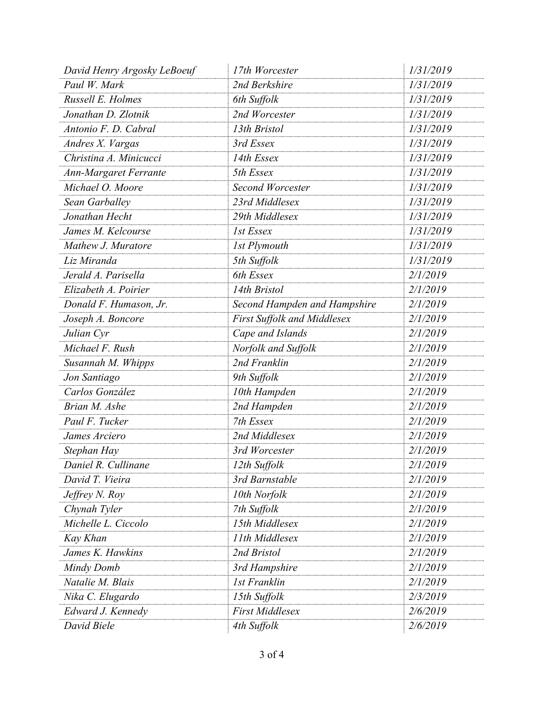| 1/31/2019<br>Paul W. Mark<br>2nd Berkshire<br>Russell E. Holmes<br>1/31/2019<br>6th Suffolk<br>2nd Worcester<br>1/31/2019<br>Jonathan D. Zlotnik<br>13th Bristol<br>1/31/2019<br>Antonio F. D. Cabral<br>1/31/2019<br>3rd Essex<br>Andres X. Vargas<br>1/31/2019<br>Christina A. Minicucci<br>14th Essex<br>5th Essex<br>1/31/2019<br><b>Ann-Margaret Ferrante</b><br>Michael O. Moore<br>1/31/2019<br>Second Worcester<br>1/31/2019<br>23rd Middlesex<br>Sean Garballey<br>1/31/2019<br>Jonathan Hecht<br>29th Middlesex<br>1st Essex<br>1/31/2019<br>James M. Kelcourse<br>1/31/2019<br>Mathew J. Muratore<br><b>1st Plymouth</b><br>1/31/2019<br>Liz Miranda<br>5th Suffolk<br>6th Essex<br>Jerald A. Parisella<br>2/1/2019<br>Elizabeth A. Poirier<br>2/1/2019<br>14th Bristol<br>2/1/2019<br>Donald F. Humason, Jr.<br>Second Hampden and Hampshire<br>First Suffolk and Middlesex<br>2/1/2019<br>Joseph A. Boncore<br>2/1/2019<br>Cape and Islands<br>Julian Cyr<br>Michael F. Rush<br>Norfolk and Suffolk<br>2/1/2019<br>2nd Franklin<br>2/1/2019<br>Susannah M. Whipps<br>2/1/2019<br>Jon Santiago<br>9th Suffolk<br>Carlos González<br>2/1/2019<br>10th Hampden<br>2nd Hampden<br>2/1/2019<br>Brian M. Ashe<br>Paul F. Tucker<br>7th Essex<br>2/1/2019<br>2nd Middlesex<br>2/1/2019<br>James Arciero<br>3rd Worcester<br>2/1/2019<br>Stephan Hay<br>Daniel R. Cullinane<br>12th Suffolk<br>2/1/2019<br>3rd Barnstable<br>2/1/2019<br>David T. Vieira<br>10th Norfolk<br>2/1/2019<br>Jeffrey N. Roy<br>2/1/2019<br>Chynah Tyler<br>7th Suffolk<br>Michelle L. Ciccolo<br>15th Middlesex<br>2/1/2019<br>11th Middlesex<br>2/1/2019<br>Kay Khan<br>James K. Hawkins<br>2nd Bristol<br>2/1/2019<br>Mindy Domb<br>3rd Hampshire<br>2/1/2019<br>Natalie M. Blais<br><b>1st Franklin</b><br>2/1/2019<br>Nika C. Elugardo<br>15th Suffolk<br>2/3/2019<br><b>First Middlesex</b><br>Edward J. Kennedy<br>2/6/2019<br>David Biele<br>4th Suffolk<br>2/6/2019 | David Henry Argosky LeBoeuf | 17th Worcester | 1/31/2019 |
|-------------------------------------------------------------------------------------------------------------------------------------------------------------------------------------------------------------------------------------------------------------------------------------------------------------------------------------------------------------------------------------------------------------------------------------------------------------------------------------------------------------------------------------------------------------------------------------------------------------------------------------------------------------------------------------------------------------------------------------------------------------------------------------------------------------------------------------------------------------------------------------------------------------------------------------------------------------------------------------------------------------------------------------------------------------------------------------------------------------------------------------------------------------------------------------------------------------------------------------------------------------------------------------------------------------------------------------------------------------------------------------------------------------------------------------------------------------------------------------------------------------------------------------------------------------------------------------------------------------------------------------------------------------------------------------------------------------------------------------------------------------------------------------------------------------------------------------------------------------------------------------------------------------------------------------------------------------|-----------------------------|----------------|-----------|
|                                                                                                                                                                                                                                                                                                                                                                                                                                                                                                                                                                                                                                                                                                                                                                                                                                                                                                                                                                                                                                                                                                                                                                                                                                                                                                                                                                                                                                                                                                                                                                                                                                                                                                                                                                                                                                                                                                                                                             |                             |                |           |
|                                                                                                                                                                                                                                                                                                                                                                                                                                                                                                                                                                                                                                                                                                                                                                                                                                                                                                                                                                                                                                                                                                                                                                                                                                                                                                                                                                                                                                                                                                                                                                                                                                                                                                                                                                                                                                                                                                                                                             |                             |                |           |
|                                                                                                                                                                                                                                                                                                                                                                                                                                                                                                                                                                                                                                                                                                                                                                                                                                                                                                                                                                                                                                                                                                                                                                                                                                                                                                                                                                                                                                                                                                                                                                                                                                                                                                                                                                                                                                                                                                                                                             |                             |                |           |
|                                                                                                                                                                                                                                                                                                                                                                                                                                                                                                                                                                                                                                                                                                                                                                                                                                                                                                                                                                                                                                                                                                                                                                                                                                                                                                                                                                                                                                                                                                                                                                                                                                                                                                                                                                                                                                                                                                                                                             |                             |                |           |
|                                                                                                                                                                                                                                                                                                                                                                                                                                                                                                                                                                                                                                                                                                                                                                                                                                                                                                                                                                                                                                                                                                                                                                                                                                                                                                                                                                                                                                                                                                                                                                                                                                                                                                                                                                                                                                                                                                                                                             |                             |                |           |
|                                                                                                                                                                                                                                                                                                                                                                                                                                                                                                                                                                                                                                                                                                                                                                                                                                                                                                                                                                                                                                                                                                                                                                                                                                                                                                                                                                                                                                                                                                                                                                                                                                                                                                                                                                                                                                                                                                                                                             |                             |                |           |
|                                                                                                                                                                                                                                                                                                                                                                                                                                                                                                                                                                                                                                                                                                                                                                                                                                                                                                                                                                                                                                                                                                                                                                                                                                                                                                                                                                                                                                                                                                                                                                                                                                                                                                                                                                                                                                                                                                                                                             |                             |                |           |
|                                                                                                                                                                                                                                                                                                                                                                                                                                                                                                                                                                                                                                                                                                                                                                                                                                                                                                                                                                                                                                                                                                                                                                                                                                                                                                                                                                                                                                                                                                                                                                                                                                                                                                                                                                                                                                                                                                                                                             |                             |                |           |
|                                                                                                                                                                                                                                                                                                                                                                                                                                                                                                                                                                                                                                                                                                                                                                                                                                                                                                                                                                                                                                                                                                                                                                                                                                                                                                                                                                                                                                                                                                                                                                                                                                                                                                                                                                                                                                                                                                                                                             |                             |                |           |
|                                                                                                                                                                                                                                                                                                                                                                                                                                                                                                                                                                                                                                                                                                                                                                                                                                                                                                                                                                                                                                                                                                                                                                                                                                                                                                                                                                                                                                                                                                                                                                                                                                                                                                                                                                                                                                                                                                                                                             |                             |                |           |
|                                                                                                                                                                                                                                                                                                                                                                                                                                                                                                                                                                                                                                                                                                                                                                                                                                                                                                                                                                                                                                                                                                                                                                                                                                                                                                                                                                                                                                                                                                                                                                                                                                                                                                                                                                                                                                                                                                                                                             |                             |                |           |
|                                                                                                                                                                                                                                                                                                                                                                                                                                                                                                                                                                                                                                                                                                                                                                                                                                                                                                                                                                                                                                                                                                                                                                                                                                                                                                                                                                                                                                                                                                                                                                                                                                                                                                                                                                                                                                                                                                                                                             |                             |                |           |
|                                                                                                                                                                                                                                                                                                                                                                                                                                                                                                                                                                                                                                                                                                                                                                                                                                                                                                                                                                                                                                                                                                                                                                                                                                                                                                                                                                                                                                                                                                                                                                                                                                                                                                                                                                                                                                                                                                                                                             |                             |                |           |
|                                                                                                                                                                                                                                                                                                                                                                                                                                                                                                                                                                                                                                                                                                                                                                                                                                                                                                                                                                                                                                                                                                                                                                                                                                                                                                                                                                                                                                                                                                                                                                                                                                                                                                                                                                                                                                                                                                                                                             |                             |                |           |
|                                                                                                                                                                                                                                                                                                                                                                                                                                                                                                                                                                                                                                                                                                                                                                                                                                                                                                                                                                                                                                                                                                                                                                                                                                                                                                                                                                                                                                                                                                                                                                                                                                                                                                                                                                                                                                                                                                                                                             |                             |                |           |
|                                                                                                                                                                                                                                                                                                                                                                                                                                                                                                                                                                                                                                                                                                                                                                                                                                                                                                                                                                                                                                                                                                                                                                                                                                                                                                                                                                                                                                                                                                                                                                                                                                                                                                                                                                                                                                                                                                                                                             |                             |                |           |
|                                                                                                                                                                                                                                                                                                                                                                                                                                                                                                                                                                                                                                                                                                                                                                                                                                                                                                                                                                                                                                                                                                                                                                                                                                                                                                                                                                                                                                                                                                                                                                                                                                                                                                                                                                                                                                                                                                                                                             |                             |                |           |
|                                                                                                                                                                                                                                                                                                                                                                                                                                                                                                                                                                                                                                                                                                                                                                                                                                                                                                                                                                                                                                                                                                                                                                                                                                                                                                                                                                                                                                                                                                                                                                                                                                                                                                                                                                                                                                                                                                                                                             |                             |                |           |
|                                                                                                                                                                                                                                                                                                                                                                                                                                                                                                                                                                                                                                                                                                                                                                                                                                                                                                                                                                                                                                                                                                                                                                                                                                                                                                                                                                                                                                                                                                                                                                                                                                                                                                                                                                                                                                                                                                                                                             |                             |                |           |
|                                                                                                                                                                                                                                                                                                                                                                                                                                                                                                                                                                                                                                                                                                                                                                                                                                                                                                                                                                                                                                                                                                                                                                                                                                                                                                                                                                                                                                                                                                                                                                                                                                                                                                                                                                                                                                                                                                                                                             |                             |                |           |
|                                                                                                                                                                                                                                                                                                                                                                                                                                                                                                                                                                                                                                                                                                                                                                                                                                                                                                                                                                                                                                                                                                                                                                                                                                                                                                                                                                                                                                                                                                                                                                                                                                                                                                                                                                                                                                                                                                                                                             |                             |                |           |
|                                                                                                                                                                                                                                                                                                                                                                                                                                                                                                                                                                                                                                                                                                                                                                                                                                                                                                                                                                                                                                                                                                                                                                                                                                                                                                                                                                                                                                                                                                                                                                                                                                                                                                                                                                                                                                                                                                                                                             |                             |                |           |
|                                                                                                                                                                                                                                                                                                                                                                                                                                                                                                                                                                                                                                                                                                                                                                                                                                                                                                                                                                                                                                                                                                                                                                                                                                                                                                                                                                                                                                                                                                                                                                                                                                                                                                                                                                                                                                                                                                                                                             |                             |                |           |
|                                                                                                                                                                                                                                                                                                                                                                                                                                                                                                                                                                                                                                                                                                                                                                                                                                                                                                                                                                                                                                                                                                                                                                                                                                                                                                                                                                                                                                                                                                                                                                                                                                                                                                                                                                                                                                                                                                                                                             |                             |                |           |
|                                                                                                                                                                                                                                                                                                                                                                                                                                                                                                                                                                                                                                                                                                                                                                                                                                                                                                                                                                                                                                                                                                                                                                                                                                                                                                                                                                                                                                                                                                                                                                                                                                                                                                                                                                                                                                                                                                                                                             |                             |                |           |
|                                                                                                                                                                                                                                                                                                                                                                                                                                                                                                                                                                                                                                                                                                                                                                                                                                                                                                                                                                                                                                                                                                                                                                                                                                                                                                                                                                                                                                                                                                                                                                                                                                                                                                                                                                                                                                                                                                                                                             |                             |                |           |
|                                                                                                                                                                                                                                                                                                                                                                                                                                                                                                                                                                                                                                                                                                                                                                                                                                                                                                                                                                                                                                                                                                                                                                                                                                                                                                                                                                                                                                                                                                                                                                                                                                                                                                                                                                                                                                                                                                                                                             |                             |                |           |
|                                                                                                                                                                                                                                                                                                                                                                                                                                                                                                                                                                                                                                                                                                                                                                                                                                                                                                                                                                                                                                                                                                                                                                                                                                                                                                                                                                                                                                                                                                                                                                                                                                                                                                                                                                                                                                                                                                                                                             |                             |                |           |
|                                                                                                                                                                                                                                                                                                                                                                                                                                                                                                                                                                                                                                                                                                                                                                                                                                                                                                                                                                                                                                                                                                                                                                                                                                                                                                                                                                                                                                                                                                                                                                                                                                                                                                                                                                                                                                                                                                                                                             |                             |                |           |
|                                                                                                                                                                                                                                                                                                                                                                                                                                                                                                                                                                                                                                                                                                                                                                                                                                                                                                                                                                                                                                                                                                                                                                                                                                                                                                                                                                                                                                                                                                                                                                                                                                                                                                                                                                                                                                                                                                                                                             |                             |                |           |
|                                                                                                                                                                                                                                                                                                                                                                                                                                                                                                                                                                                                                                                                                                                                                                                                                                                                                                                                                                                                                                                                                                                                                                                                                                                                                                                                                                                                                                                                                                                                                                                                                                                                                                                                                                                                                                                                                                                                                             |                             |                |           |
|                                                                                                                                                                                                                                                                                                                                                                                                                                                                                                                                                                                                                                                                                                                                                                                                                                                                                                                                                                                                                                                                                                                                                                                                                                                                                                                                                                                                                                                                                                                                                                                                                                                                                                                                                                                                                                                                                                                                                             |                             |                |           |
|                                                                                                                                                                                                                                                                                                                                                                                                                                                                                                                                                                                                                                                                                                                                                                                                                                                                                                                                                                                                                                                                                                                                                                                                                                                                                                                                                                                                                                                                                                                                                                                                                                                                                                                                                                                                                                                                                                                                                             |                             |                |           |
|                                                                                                                                                                                                                                                                                                                                                                                                                                                                                                                                                                                                                                                                                                                                                                                                                                                                                                                                                                                                                                                                                                                                                                                                                                                                                                                                                                                                                                                                                                                                                                                                                                                                                                                                                                                                                                                                                                                                                             |                             |                |           |
|                                                                                                                                                                                                                                                                                                                                                                                                                                                                                                                                                                                                                                                                                                                                                                                                                                                                                                                                                                                                                                                                                                                                                                                                                                                                                                                                                                                                                                                                                                                                                                                                                                                                                                                                                                                                                                                                                                                                                             |                             |                |           |
|                                                                                                                                                                                                                                                                                                                                                                                                                                                                                                                                                                                                                                                                                                                                                                                                                                                                                                                                                                                                                                                                                                                                                                                                                                                                                                                                                                                                                                                                                                                                                                                                                                                                                                                                                                                                                                                                                                                                                             |                             |                |           |
|                                                                                                                                                                                                                                                                                                                                                                                                                                                                                                                                                                                                                                                                                                                                                                                                                                                                                                                                                                                                                                                                                                                                                                                                                                                                                                                                                                                                                                                                                                                                                                                                                                                                                                                                                                                                                                                                                                                                                             |                             |                |           |
|                                                                                                                                                                                                                                                                                                                                                                                                                                                                                                                                                                                                                                                                                                                                                                                                                                                                                                                                                                                                                                                                                                                                                                                                                                                                                                                                                                                                                                                                                                                                                                                                                                                                                                                                                                                                                                                                                                                                                             |                             |                |           |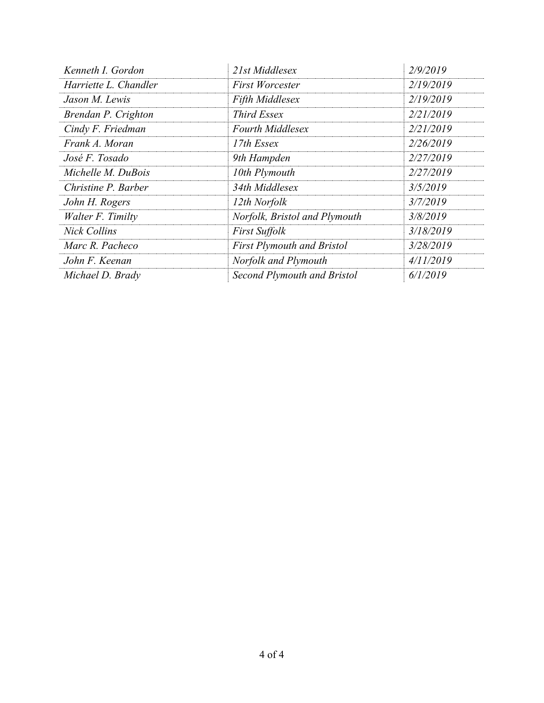| Kenneth I. Gordon     | 21st Middlesex                    | 2/9/2019  |
|-----------------------|-----------------------------------|-----------|
| Harriette L. Chandler | <b>First Worcester</b>            | 2/19/2019 |
| Jason M. Lewis        | <b>Fifth Middlesex</b>            | 2/19/2019 |
| Brendan P. Crighton   | Third Essex                       | 2/21/2019 |
| Cindy F. Friedman     | <b>Fourth Middlesex</b>           | 2/21/2019 |
| Frank A. Moran        | 17th Essex                        | 2/26/2019 |
| José F. Tosado        | 9th Hampden                       | 2/27/2019 |
| Michelle M. DuBois    | 10th Plymouth                     | 2/27/2019 |
| Christine P. Barber   | 34th Middlesex                    | 3/5/2019  |
| John H. Rogers        | 12th Norfolk                      | 3/7/2019  |
| Walter F. Timilty     | Norfolk, Bristol and Plymouth     | 3/8/2019  |
| <b>Nick Collins</b>   | <b>First Suffolk</b>              | 3/18/2019 |
| Marc R. Pacheco       | <b>First Plymouth and Bristol</b> | 3/28/2019 |
| John F. Keenan        | Norfolk and Plymouth              | 4/11/2019 |
| Michael D. Brady      | Second Plymouth and Bristol       | 6/1/2019  |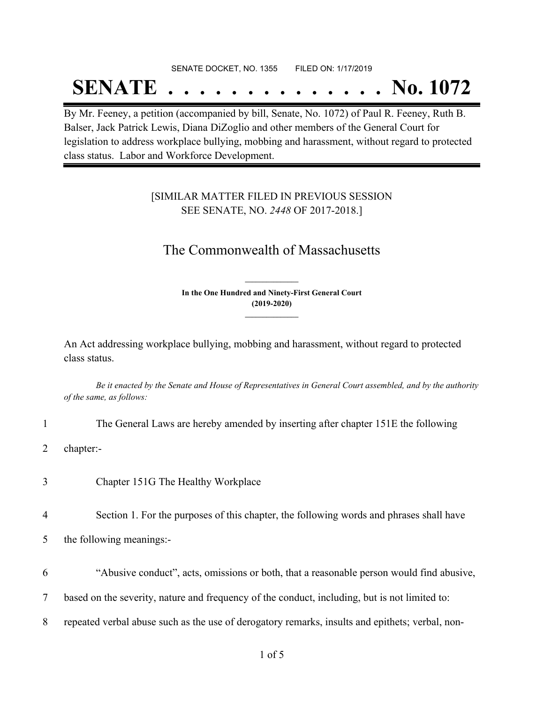## SENATE DOCKET, NO. 1355 FILED ON: 1/17/2019

## **SENATE . . . . . . . . . . . . . . No. 1072**

By Mr. Feeney, a petition (accompanied by bill, Senate, No. 1072) of Paul R. Feeney, Ruth B. Balser, Jack Patrick Lewis, Diana DiZoglio and other members of the General Court for legislation to address workplace bullying, mobbing and harassment, without regard to protected class status. Labor and Workforce Development.

### [SIMILAR MATTER FILED IN PREVIOUS SESSION SEE SENATE, NO. *2448* OF 2017-2018.]

## The Commonwealth of Massachusetts

**In the One Hundred and Ninety-First General Court (2019-2020) \_\_\_\_\_\_\_\_\_\_\_\_\_\_\_**

**\_\_\_\_\_\_\_\_\_\_\_\_\_\_\_**

An Act addressing workplace bullying, mobbing and harassment, without regard to protected class status.

Be it enacted by the Senate and House of Representatives in General Court assembled, and by the authority *of the same, as follows:*

- 1 The General Laws are hereby amended by inserting after chapter 151E the following
- 2 chapter:-
- 3 Chapter 151G The Healthy Workplace
- 4 Section 1. For the purposes of this chapter, the following words and phrases shall have

5 the following meanings:-

6 "Abusive conduct", acts, omissions or both, that a reasonable person would find abusive,

7 based on the severity, nature and frequency of the conduct, including, but is not limited to:

8 repeated verbal abuse such as the use of derogatory remarks, insults and epithets; verbal, non-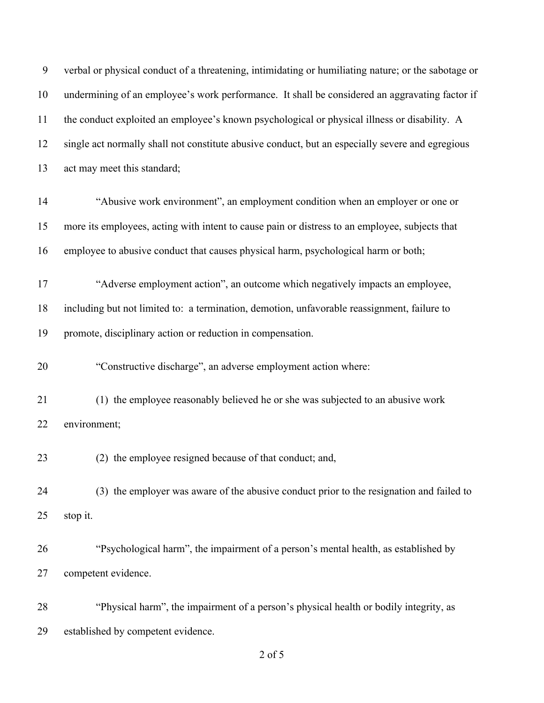| 9  | verbal or physical conduct of a threatening, intimidating or humiliating nature; or the sabotage or |
|----|-----------------------------------------------------------------------------------------------------|
| 10 | undermining of an employee's work performance. It shall be considered an aggravating factor if      |
| 11 | the conduct exploited an employee's known psychological or physical illness or disability. A        |
| 12 | single act normally shall not constitute abusive conduct, but an especially severe and egregious    |
| 13 | act may meet this standard;                                                                         |
| 14 | "Abusive work environment", an employment condition when an employer or one or                      |
| 15 | more its employees, acting with intent to cause pain or distress to an employee, subjects that      |
| 16 | employee to abusive conduct that causes physical harm, psychological harm or both;                  |
| 17 | "Adverse employment action", an outcome which negatively impacts an employee,                       |
| 18 | including but not limited to: a termination, demotion, unfavorable reassignment, failure to         |
| 19 | promote, disciplinary action or reduction in compensation.                                          |
| 20 | "Constructive discharge", an adverse employment action where:                                       |
| 21 | (1) the employee reasonably believed he or she was subjected to an abusive work                     |
| 22 | environment;                                                                                        |
| 23 | (2) the employee resigned because of that conduct; and,                                             |
| 24 | (3) the employer was aware of the abusive conduct prior to the resignation and failed to            |
| 25 | stop it.                                                                                            |
| 26 | "Psychological harm", the impairment of a person's mental health, as established by                 |
| 27 | competent evidence.                                                                                 |
| 28 | "Physical harm", the impairment of a person's physical health or bodily integrity, as               |
| 29 | established by competent evidence.                                                                  |

of 5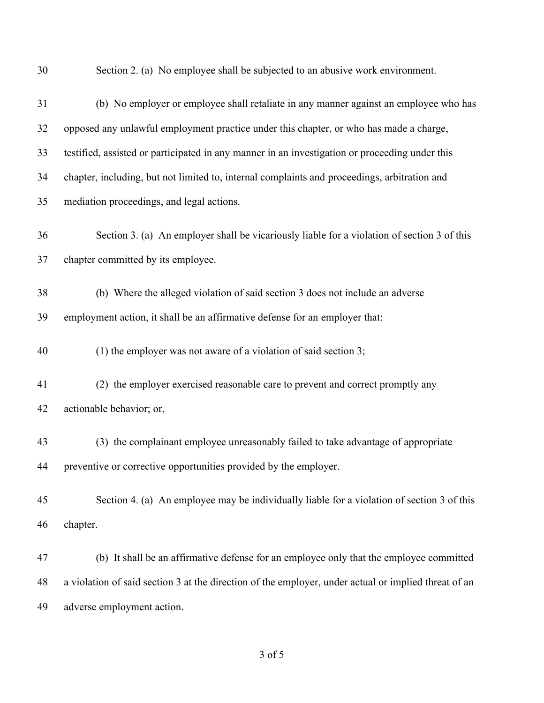Section 2. (a) No employee shall be subjected to an abusive work environment.

| 31 | (b) No employer or employee shall retaliate in any manner against an employee who has                |
|----|------------------------------------------------------------------------------------------------------|
| 32 | opposed any unlawful employment practice under this chapter, or who has made a charge,               |
| 33 | testified, assisted or participated in any manner in an investigation or proceeding under this       |
| 34 | chapter, including, but not limited to, internal complaints and proceedings, arbitration and         |
| 35 | mediation proceedings, and legal actions.                                                            |
| 36 | Section 3. (a) An employer shall be vicariously liable for a violation of section 3 of this          |
| 37 | chapter committed by its employee.                                                                   |
| 38 | (b) Where the alleged violation of said section 3 does not include an adverse                        |
| 39 | employment action, it shall be an affirmative defense for an employer that:                          |
| 40 | (1) the employer was not aware of a violation of said section 3;                                     |
| 41 | (2) the employer exercised reasonable care to prevent and correct promptly any                       |
| 42 | actionable behavior; or,                                                                             |
| 43 | (3) the complainant employee unreasonably failed to take advantage of appropriate                    |
| 44 | preventive or corrective opportunities provided by the employer.                                     |
| 45 | Section 4. (a) An employee may be individually liable for a violation of section 3 of this           |
| 46 | chapter.                                                                                             |
| 47 | (b) It shall be an affirmative defense for an employee only that the employee committed              |
| 48 | a violation of said section 3 at the direction of the employer, under actual or implied threat of an |
| 49 | adverse employment action.                                                                           |

of 5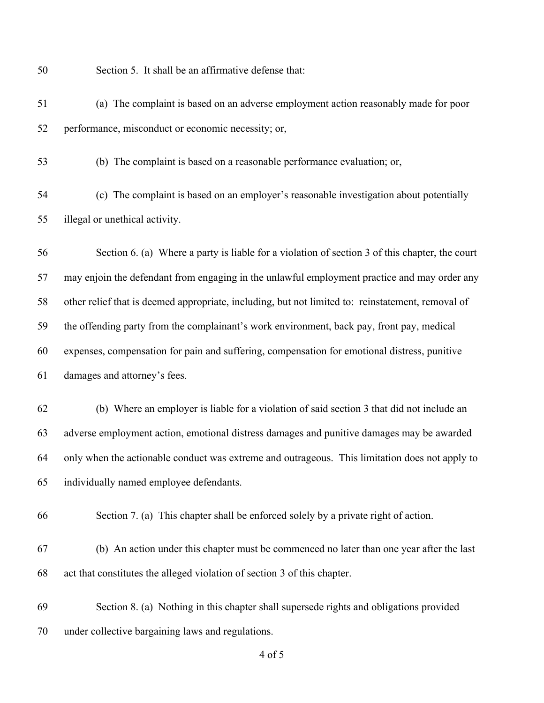Section 5. It shall be an affirmative defense that:

- (a) The complaint is based on an adverse employment action reasonably made for poor performance, misconduct or economic necessity; or,
- 

(b) The complaint is based on a reasonable performance evaluation; or,

 (c) The complaint is based on an employer's reasonable investigation about potentially illegal or unethical activity.

 Section 6. (a) Where a party is liable for a violation of section 3 of this chapter, the court may enjoin the defendant from engaging in the unlawful employment practice and may order any other relief that is deemed appropriate, including, but not limited to: reinstatement, removal of the offending party from the complainant's work environment, back pay, front pay, medical expenses, compensation for pain and suffering, compensation for emotional distress, punitive damages and attorney's fees.

 (b) Where an employer is liable for a violation of said section 3 that did not include an adverse employment action, emotional distress damages and punitive damages may be awarded only when the actionable conduct was extreme and outrageous. This limitation does not apply to individually named employee defendants.

Section 7. (a) This chapter shall be enforced solely by a private right of action.

- (b) An action under this chapter must be commenced no later than one year after the last act that constitutes the alleged violation of section 3 of this chapter.
- Section 8. (a) Nothing in this chapter shall supersede rights and obligations provided under collective bargaining laws and regulations.

of 5